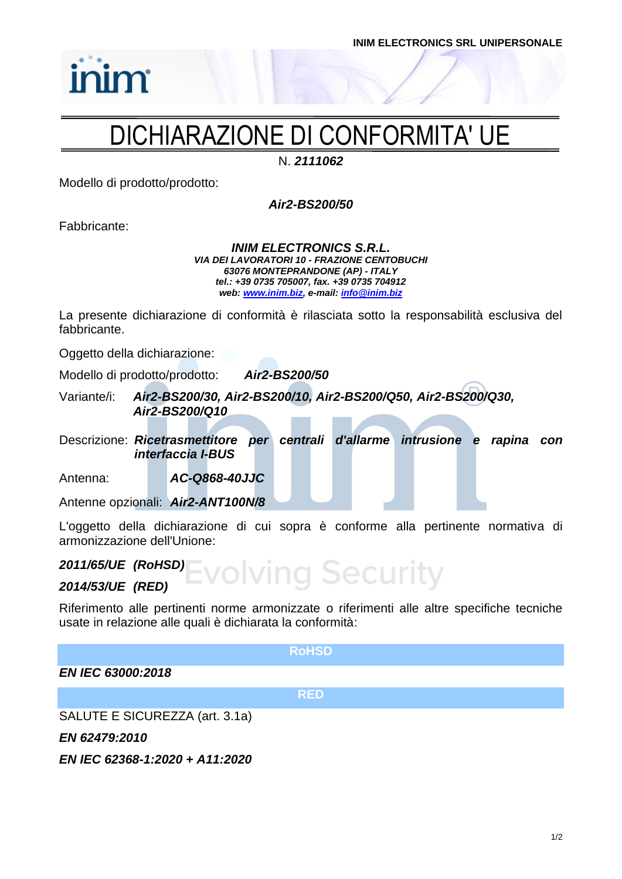# DICHIARAZIONE DI CONFORMITA' UE

N. *2111062*

Modello di prodotto/prodotto:

*Air2-BS200/50*

Fabbricante:

inim

#### *INIM ELECTRONICS S.R.L. VIA DEI LAVORATORI 10 - FRAZIONE CENTOBUCHI 63076 MONTEPRANDONE (AP) - ITALY tel.: +39 0735 705007, fax. +39 0735 704912 web: [www.inim.biz,](http://www.inim.biz/) e-mail[: info@inim.biz](mailto:info@inim.biz)*

La presente dichiarazione di conformità è rilasciata sotto la responsabilità esclusiva del fabbricante.

Oggetto della dichiarazione:

Modello di prodotto/prodotto: *Air2-BS200/50*

Variante/i: *Air2-BS200/30, Air2-BS200/10, Air2-BS200/Q50, Air2-BS200/Q30, Air2-BS200/Q10*

Descrizione: *Ricetrasmettitore per centrali d'allarme intrusione e rapina con interfaccia I-BUS*

Antenna: *AC-Q868-40JJC*

Antenne opzionali: *Air2-ANT100N/8*

L'oggetto della dichiarazione di cui sopra è conforme alla pertinente normativa di armonizzazione dell'Unione:

volving Security

## *2011/65/UE (RoHSD)*

## *2014/53/UE (RED)*

Riferimento alle pertinenti norme armonizzate o riferimenti alle altre specifiche tecniche usate in relazione alle quali è dichiarata la conformità:

#### **RoHSD**

*EN IEC 63000:2018*

**RED**

SALUTE E SICUREZZA (art. 3.1a)

*EN 62479:2010*

*EN IEC 62368-1:2020 + A11:2020*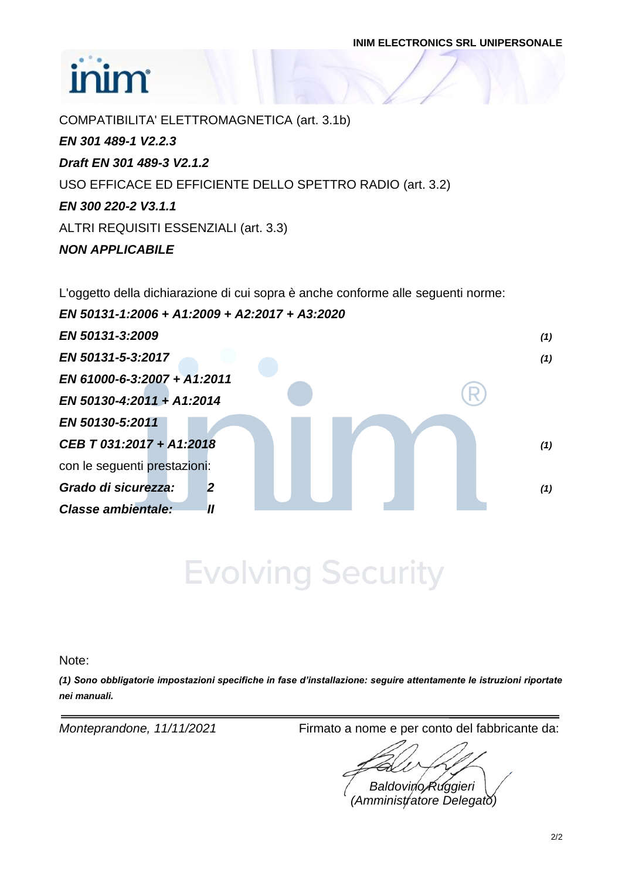**INIM ELECTRONICS SRL UNIPERSONALE**

# inim

COMPATIBILITA' ELETTROMAGNETICA (art. 3.1b) *EN 301 489-1 V2.2.3 Draft EN 301 489-3 V2.1.2* USO EFFICACE ED EFFICIENTE DELLO SPETTRO RADIO (art. 3.2) *EN 300 220-2 V3.1.1* ALTRI REQUISITI ESSENZIALI (art. 3.3) *NON APPLICABILE*

L'oggetto della dichiarazione di cui sopra è anche conforme alle seguenti norme:

| EN 50131-1:2006 + A1:2009 + A2:2017 + A3:2020  |     |
|------------------------------------------------|-----|
| EN 50131-3:2009                                | (1) |
| EN 50131-5-3:2017                              | (1) |
| EN 61000-6-3:2007 + A1:2011                    |     |
| EN 50130-4:2011 + A1:2014                      |     |
| EN 50130-5:2011                                |     |
| CEB T 031:2017 + A1:2018                       | (1) |
| con le seguenti prestazioni:                   |     |
| Grado di sicurezza:<br>$\overline{2}$          | (1) |
| <b>Classe ambientale:</b><br>$^{\prime\prime}$ |     |

**Evolving Security** 

Note:

*(1) Sono obbligatorie impostazioni specifiche in fase d'installazione: seguire attentamente le istruzioni riportate nei manuali.*

*Monteprandone, 11/11/2021* Firmato a nome e per conto del fabbricante da:

*Baldovino Ruggieri (Amministratore Delegato)*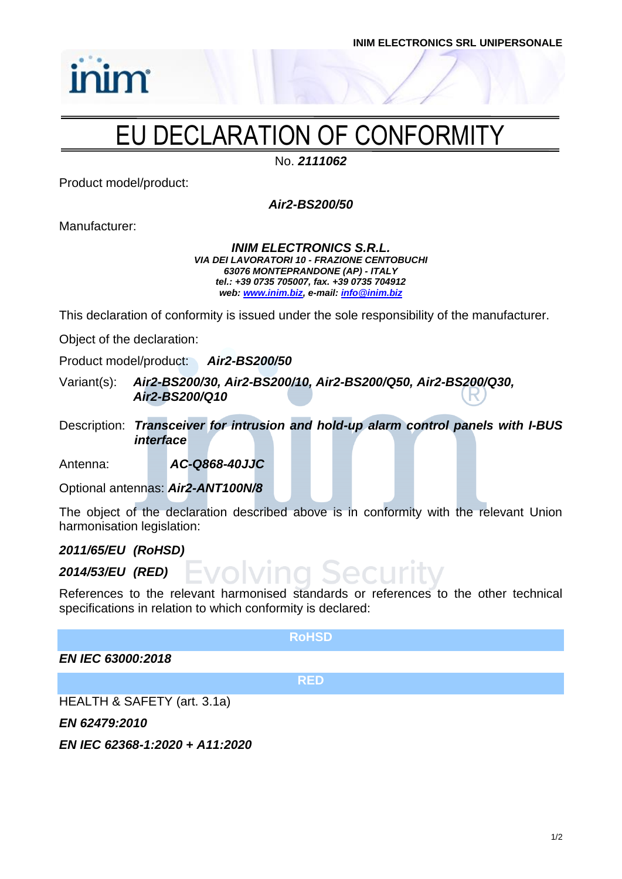**INIM ELECTRONICS SRL UNIPERSONALE**

# EU DECLARATION OF CONFORMITY

No. *2111062*

Product model/product:

*inim* 

*Air2-BS200/50*

Manufacturer:

*INIM ELECTRONICS S.R.L. VIA DEI LAVORATORI 10 - FRAZIONE CENTOBUCHI 63076 MONTEPRANDONE (AP) - ITALY tel.: +39 0735 705007, fax. +39 0735 704912 web: [www.inim.biz,](http://www.inim.biz/) e-mail[: info@inim.biz](mailto:info@inim.biz)*

This declaration of conformity is issued under the sole responsibility of the manufacturer.

Object of the declaration:

Product model/product: *Air2-BS200/50*

Variant(s): *Air2-BS200/30, Air2-BS200/10, Air2-BS200/Q50, Air2-BS200/Q30, Air2-BS200/Q10*

Description: *Transceiver for intrusion and hold-up alarm control panels with I-BUS interface*

Antenna: *AC-Q868-40JJC*

Optional antennas: *Air2-ANT100N/8*

The object of the declaration described above is in conformity with the relevant Union harmonisation legislation:

*2011/65/EU (RoHSD)*

## *2014/53/EU (RED)*

References to the relevant harmonised standards or references to the other technical specifications in relation to which conformity is declared:

SACLIM

### **RoHSD**

*EN IEC 63000:2018*

**RED**

HEALTH & SAFETY (art. 3.1a)

*EN 62479:2010*

*EN IEC 62368-1:2020 + A11:2020*